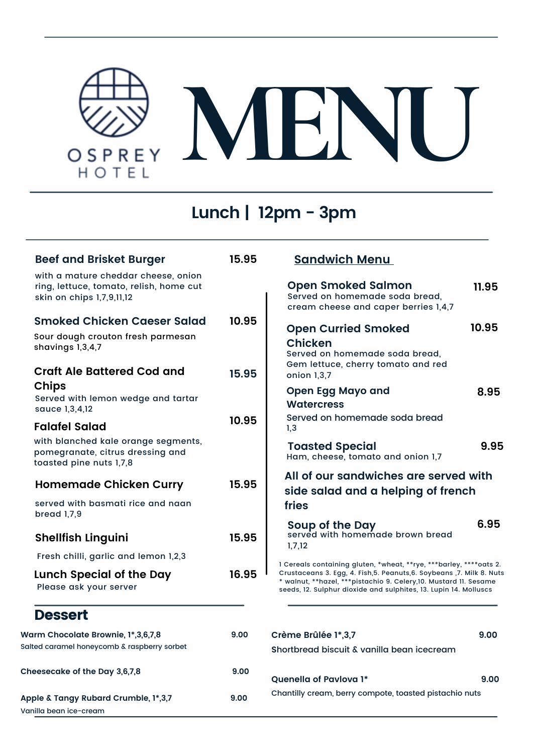

## **Lunch | 12pm - 3pm**

| <b>Beef and Brisket Burger</b>                                                                              | 15.95 | <b>Sandwich Menu</b>                                                                                                                                                                                           |       |
|-------------------------------------------------------------------------------------------------------------|-------|----------------------------------------------------------------------------------------------------------------------------------------------------------------------------------------------------------------|-------|
| with a mature cheddar cheese, onion<br>ring, lettuce, tomato, relish, home cut<br>skin on chips 1,7,9,11,12 |       | <b>Open Smoked Salmon</b><br>Served on homemade soda bread,<br>cream cheese and caper berries 1,4,7                                                                                                            | 11.95 |
| <b>Smoked Chicken Caeser Salad</b><br>Sour dough crouton fresh parmesan<br>shavings 1,3,4,7                 | 10.95 | <b>Open Curried Smoked</b><br><b>Chicken</b><br>Served on homemade soda bread,<br>Gem lettuce, cherry tomato and red                                                                                           | 10.95 |
| <b>Craft Ale Battered Cod and</b><br><b>Chips</b><br>Served with lemon wedge and tartar<br>sauce 1,3,4,12   | 15.95 | onion 1,3,7<br><b>Open Egg Mayo and</b><br><b>Watercress</b>                                                                                                                                                   | 8.95  |
| <b>Falafel Salad</b>                                                                                        | 10.95 | Served on homemade soda bread<br>1,3                                                                                                                                                                           |       |
| with blanched kale orange segments,<br>pomegranate, citrus dressing and<br>toasted pine nuts 1,7,8          |       | <b>Toasted Special</b><br>Ham, cheese, tomato and onion 1,7                                                                                                                                                    | 9.95  |
| <b>Homemade Chicken Curry</b>                                                                               | 15.95 | All of our sandwiches are served with<br>side salad and a helping of french                                                                                                                                    |       |
| served with basmati rice and naan<br>bread $1,7,9$                                                          |       | fries                                                                                                                                                                                                          |       |
| <b>Shellfish Linguini</b>                                                                                   | 15.95 | Soup of the Day<br>served with homemade brown bread<br>1, 7, 12                                                                                                                                                | 6.95  |
| Fresh chilli, garlic and lemon 1,2,3                                                                        |       | 1 Cereals containing gluten, *wheat, **rye, ***barley, ****oats 2.                                                                                                                                             |       |
| Lunch Special of the Day<br>Please ask your server                                                          | 16.95 | Crustaceans 3. Egg, 4. Fish, 5. Peanuts, 6. Soybeans , 7. Milk 8. Nuts<br>* walnut, **hazel, ***pistachio 9. Celery,10. Mustard 11. Sesame<br>seeds, 12. Sulphur dioxide and sulphites, 13. Lupin 14. Molluscs |       |
| <b>Dessert</b>                                                                                              |       |                                                                                                                                                                                                                |       |
| Warm Chocolate Brownie, 1*,3,6,7,8<br>Salted caramel honeycomb & raspberry sorbet                           | 9.00  | Crème Brûlée 1*,3,7<br>Shortbread biscuit & vanilla bean icecream                                                                                                                                              | 9.00  |
| Cheesecake of the Day 3,6,7,8                                                                               | 9.00  | Quenella of Pavlova 1*                                                                                                                                                                                         | 9.00  |
| Apple & Tangy Rubard Crumble, 1*,3,7<br>Vanilla bean ice-cream                                              | 9.00  | Chantilly cream, berry compote, toasted pistachio nuts                                                                                                                                                         |       |